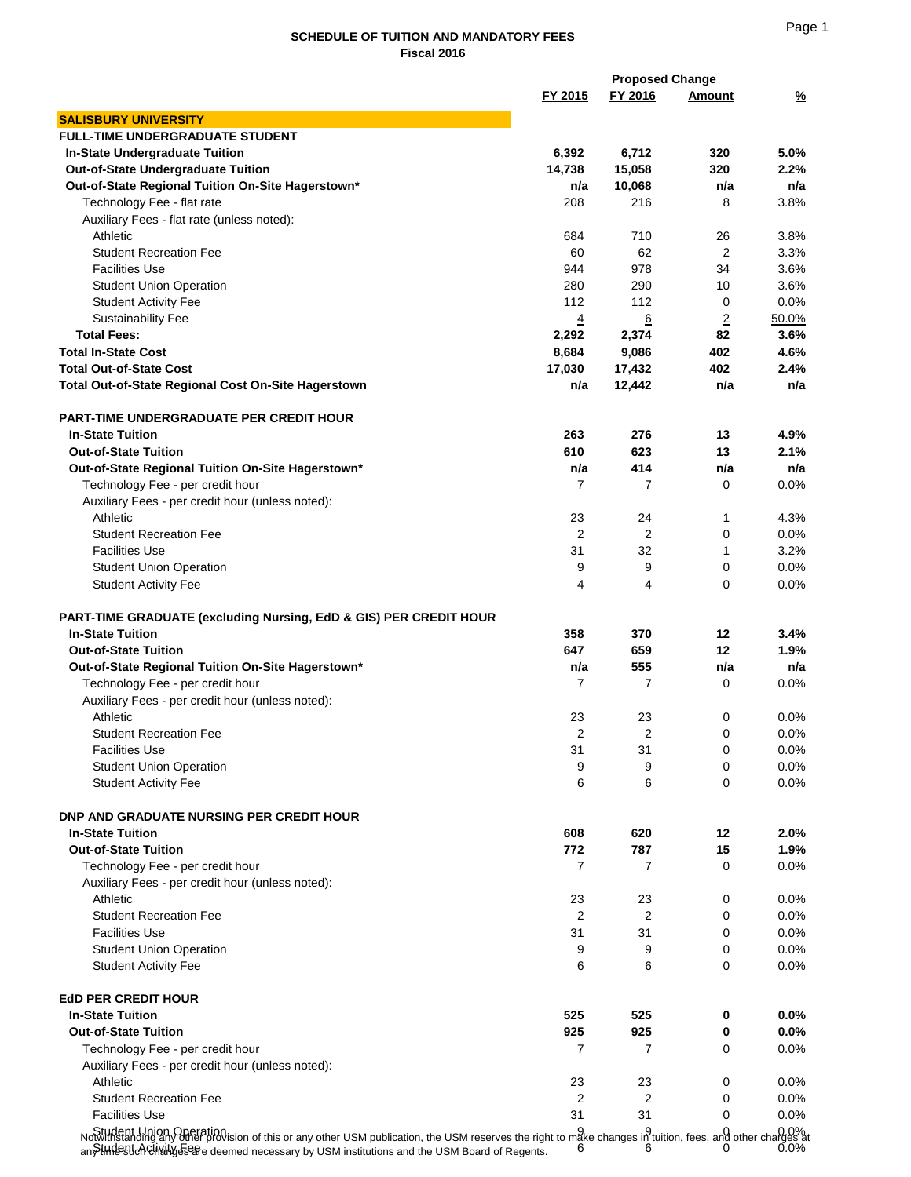## **SCHEDULE OF TUITION AND MANDATORY FEES Fiscal 2016**

|                                                                                                                                                                                                                                                                                                                                    |                | <b>Proposed Change</b> |                |              |
|------------------------------------------------------------------------------------------------------------------------------------------------------------------------------------------------------------------------------------------------------------------------------------------------------------------------------------|----------------|------------------------|----------------|--------------|
|                                                                                                                                                                                                                                                                                                                                    | FY 2015        | FY 2016                | Amount         | <u>%</u>     |
| <b>SALISBURY UNIVERSITY</b>                                                                                                                                                                                                                                                                                                        |                |                        |                |              |
| <b>FULL-TIME UNDERGRADUATE STUDENT</b>                                                                                                                                                                                                                                                                                             |                |                        |                |              |
| In-State Undergraduate Tuition                                                                                                                                                                                                                                                                                                     | 6,392          | 6,712                  | 320            | 5.0%         |
| Out-of-State Undergraduate Tuition                                                                                                                                                                                                                                                                                                 | 14,738         | 15,058                 | 320            | 2.2%         |
| Out-of-State Regional Tuition On-Site Hagerstown*                                                                                                                                                                                                                                                                                  | n/a            | 10,068                 | n/a            | n/a          |
| Technology Fee - flat rate                                                                                                                                                                                                                                                                                                         | 208            | 216                    | 8              | 3.8%         |
| Auxiliary Fees - flat rate (unless noted):                                                                                                                                                                                                                                                                                         |                |                        |                |              |
| Athletic                                                                                                                                                                                                                                                                                                                           | 684            | 710                    | 26             | 3.8%         |
| <b>Student Recreation Fee</b>                                                                                                                                                                                                                                                                                                      | 60             | 62                     | 2              | 3.3%         |
| <b>Facilities Use</b>                                                                                                                                                                                                                                                                                                              | 944            | 978                    |                |              |
|                                                                                                                                                                                                                                                                                                                                    | 280            | 290                    | 34<br>10       | 3.6%<br>3.6% |
| <b>Student Union Operation</b>                                                                                                                                                                                                                                                                                                     |                |                        |                |              |
| <b>Student Activity Fee</b>                                                                                                                                                                                                                                                                                                        | 112            | 112                    | 0              | 0.0%         |
| Sustainability Fee                                                                                                                                                                                                                                                                                                                 | $\overline{4}$ | 6                      | $\overline{2}$ | 50.0%        |
| <b>Total Fees:</b>                                                                                                                                                                                                                                                                                                                 | 2,292          | 2,374                  | 82             | 3.6%         |
| <b>Total In-State Cost</b>                                                                                                                                                                                                                                                                                                         | 8,684          | 9,086                  | 402            | 4.6%         |
| <b>Total Out-of-State Cost</b>                                                                                                                                                                                                                                                                                                     | 17,030         | 17,432                 | 402            | 2.4%         |
| Total Out-of-State Regional Cost On-Site Hagerstown                                                                                                                                                                                                                                                                                | n/a            | 12,442                 | n/a            | n/a          |
|                                                                                                                                                                                                                                                                                                                                    |                |                        |                |              |
| <b>PART-TIME UNDERGRADUATE PER CREDIT HOUR</b>                                                                                                                                                                                                                                                                                     |                |                        |                |              |
| <b>In-State Tuition</b>                                                                                                                                                                                                                                                                                                            | 263            | 276                    | 13             | 4.9%         |
| <b>Out-of-State Tuition</b>                                                                                                                                                                                                                                                                                                        | 610            | 623                    | 13             | 2.1%         |
| Out-of-State Regional Tuition On-Site Hagerstown*                                                                                                                                                                                                                                                                                  | n/a            | 414                    | n/a            | n/a          |
| Technology Fee - per credit hour                                                                                                                                                                                                                                                                                                   | 7              | 7                      | 0              | 0.0%         |
| Auxiliary Fees - per credit hour (unless noted):                                                                                                                                                                                                                                                                                   |                |                        |                |              |
| Athletic                                                                                                                                                                                                                                                                                                                           | 23             | 24                     | $\mathbf 1$    | 4.3%         |
| <b>Student Recreation Fee</b>                                                                                                                                                                                                                                                                                                      | $\overline{2}$ | 2                      | 0              | $0.0\%$      |
| <b>Facilities Use</b>                                                                                                                                                                                                                                                                                                              | 31             | 32                     | $\mathbf 1$    | 3.2%         |
| <b>Student Union Operation</b>                                                                                                                                                                                                                                                                                                     | 9              | 9                      | 0              | $0.0\%$      |
| <b>Student Activity Fee</b>                                                                                                                                                                                                                                                                                                        | 4              | 4                      | 0              | 0.0%         |
|                                                                                                                                                                                                                                                                                                                                    |                |                        |                |              |
| PART-TIME GRADUATE (excluding Nursing, EdD & GIS) PER CREDIT HOUR                                                                                                                                                                                                                                                                  |                |                        |                |              |
| <b>In-State Tuition</b>                                                                                                                                                                                                                                                                                                            | 358            | 370                    | 12             | 3.4%         |
| <b>Out-of-State Tuition</b>                                                                                                                                                                                                                                                                                                        | 647            | 659                    | 12             | 1.9%         |
| Out-of-State Regional Tuition On-Site Hagerstown*                                                                                                                                                                                                                                                                                  | n/a            | 555                    | n/a            | n/a          |
| Technology Fee - per credit hour                                                                                                                                                                                                                                                                                                   | 7              | 7                      | 0              | $0.0\%$      |
| Auxiliary Fees - per credit hour (unless noted):                                                                                                                                                                                                                                                                                   |                |                        |                |              |
| Athletic                                                                                                                                                                                                                                                                                                                           | 23             | 23                     | 0              | 0.0%         |
| <b>Student Recreation Fee</b>                                                                                                                                                                                                                                                                                                      | 2              | 2                      | 0              | 0.0%         |
| <b>Facilities Use</b>                                                                                                                                                                                                                                                                                                              | 31             | 31                     | 0              | 0.0%         |
| <b>Student Union Operation</b>                                                                                                                                                                                                                                                                                                     | 9              | 9                      | 0              | 0.0%         |
| <b>Student Activity Fee</b>                                                                                                                                                                                                                                                                                                        | 6              | 6                      | 0              | 0.0%         |
|                                                                                                                                                                                                                                                                                                                                    |                |                        |                |              |
| <b>DNP AND GRADUATE NURSING PER CREDIT HOUR</b>                                                                                                                                                                                                                                                                                    |                |                        |                |              |
| <b>In-State Tuition</b>                                                                                                                                                                                                                                                                                                            | 608            | 620                    | 12             | 2.0%         |
| <b>Out-of-State Tuition</b>                                                                                                                                                                                                                                                                                                        | 772            | 787                    | 15             | 1.9%         |
| Technology Fee - per credit hour                                                                                                                                                                                                                                                                                                   | 7              | 7                      | 0              | $0.0\%$      |
| Auxiliary Fees - per credit hour (unless noted):                                                                                                                                                                                                                                                                                   |                |                        |                |              |
| Athletic                                                                                                                                                                                                                                                                                                                           | 23             | 23                     | 0              | 0.0%         |
| <b>Student Recreation Fee</b>                                                                                                                                                                                                                                                                                                      | 2              | 2                      | 0              | $0.0\%$      |
| <b>Facilities Use</b>                                                                                                                                                                                                                                                                                                              | 31             | 31                     | 0              | 0.0%         |
| <b>Student Union Operation</b>                                                                                                                                                                                                                                                                                                     | 9              | 9                      | 0              | $0.0\%$      |
| <b>Student Activity Fee</b>                                                                                                                                                                                                                                                                                                        | 6              | 6                      | 0              | $0.0\%$      |
|                                                                                                                                                                                                                                                                                                                                    |                |                        |                |              |
| <b>EdD PER CREDIT HOUR</b>                                                                                                                                                                                                                                                                                                         |                |                        |                |              |
| <b>In-State Tuition</b>                                                                                                                                                                                                                                                                                                            | 525            | 525                    | 0              | 0.0%         |
| <b>Out-of-State Tuition</b>                                                                                                                                                                                                                                                                                                        | 925            | 925                    | 0              | 0.0%         |
| Technology Fee - per credit hour                                                                                                                                                                                                                                                                                                   | 7              | $\overline{7}$         | 0              | $0.0\%$      |
| Auxiliary Fees - per credit hour (unless noted):                                                                                                                                                                                                                                                                                   |                |                        |                |              |
| Athletic                                                                                                                                                                                                                                                                                                                           | 23             | 23                     | 0              | $0.0\%$      |
| <b>Student Recreation Fee</b>                                                                                                                                                                                                                                                                                                      | 2              | 2                      | 0              | $0.0\%$      |
| <b>Facilities Use</b>                                                                                                                                                                                                                                                                                                              | 31             | 31                     | 0              | 0.0%         |
|                                                                                                                                                                                                                                                                                                                                    |                |                        |                |              |
| Notwing tand midigally Omeration ission of this or any other USM publication, the USM reserves the right to make changes in tuition, fees, and other changes at a mate of the changes at any other changes at any of the chang<br>an Stindestich Childrig 58ahe deemed necessary by USM institutions and the USM Board of Regents. |                |                        |                |              |